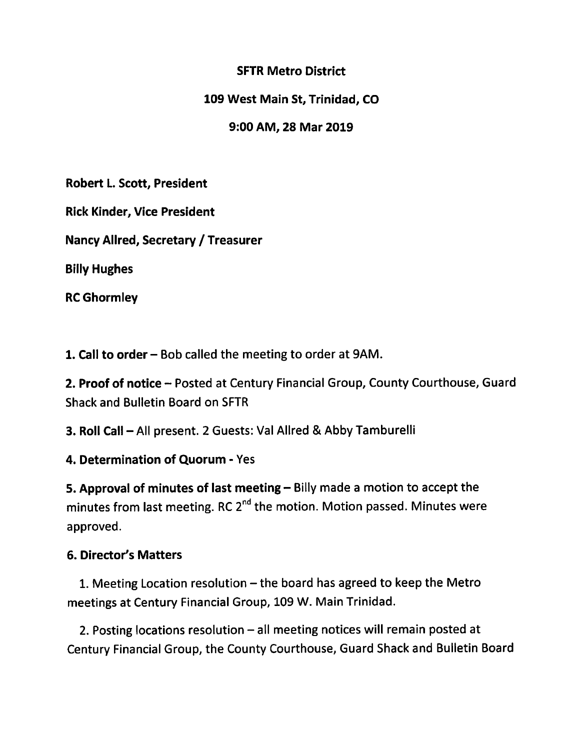## **SFTR Metro District**

109 West Main St, Trinidad, CO

9:00 AM, 28 Mar 2019

Robert L. Scott, President

**Rick Kinder, Vice President** 

Nancy Allred, Secretary / Treasurer

**Billy Hughes** 

**RC Ghormley** 

1. Call to order – Bob called the meeting to order at 9AM.

2. Proof of notice - Posted at Century Financial Group, County Courthouse, Guard **Shack and Bulletin Board on SFTR** 

3. Roll Call - All present. 2 Guests: Val Allred & Abby Tamburelli

4. Determination of Quorum - Yes

5. Approval of minutes of last meeting - Billy made a motion to accept the minutes from last meeting. RC 2<sup>nd</sup> the motion. Motion passed. Minutes were approved.

# **6. Director's Matters**

1. Meeting Location resolution – the board has agreed to keep the Metro meetings at Century Financial Group, 109 W. Main Trinidad.

2. Posting locations resolution - all meeting notices will remain posted at Century Financial Group, the County Courthouse, Guard Shack and Bulletin Board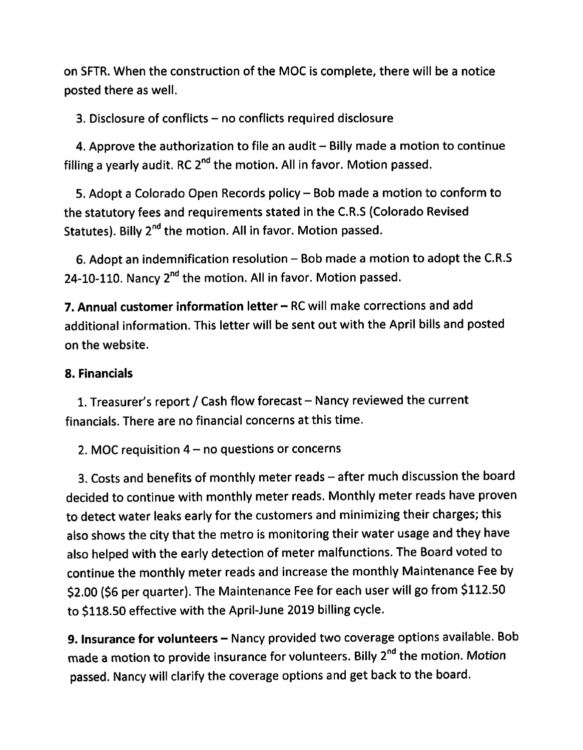on SFTR. When the construction of the MOC is complete, there will be a notice posted there as well.

3. Disclosure of conflicts - no conflicts required disclosure

4. Approve the authorization to file an audit – Billy made a motion to continue filling a yearly audit. RC 2<sup>nd</sup> the motion. All in favor. Motion passed.

5. Adopt a Colorado Open Records policy - Bob made a motion to conform to the statutory fees and requirements stated in the C.R.S (Colorado Revised Statutes). Billy 2<sup>nd</sup> the motion. All in favor. Motion passed.

6. Adopt an indemnification resolution - Bob made a motion to adopt the C.R.S 24-10-110. Nancy 2<sup>nd</sup> the motion. All in favor. Motion passed.

7. Annual customer information letter - RC will make corrections and add additional information. This letter will be sent out with the April bills and posted on the website.

# 8. Financials

1. Treasurer's report / Cash flow forecast - Nancy reviewed the current financials. There are no financial concerns at this time.

2. MOC requisition  $4 - no$  questions or concerns

3. Costs and benefits of monthly meter reads - after much discussion the board decided to continue with monthly meter reads. Monthly meter reads have proven to detect water leaks early for the customers and minimizing their charges; this also shows the city that the metro is monitoring their water usage and they have also helped with the early detection of meter malfunctions. The Board voted to continue the monthly meter reads and increase the monthly Maintenance Fee by \$2.00 (\$6 per quarter). The Maintenance Fee for each user will go from \$112.50 to \$118.50 effective with the April-June 2019 billing cycle.

9. Insurance for volunteers - Nancy provided two coverage options available. Bob made a motion to provide insurance for volunteers. Billy 2<sup>nd</sup> the motion. Motion passed. Nancy will clarify the coverage options and get back to the board.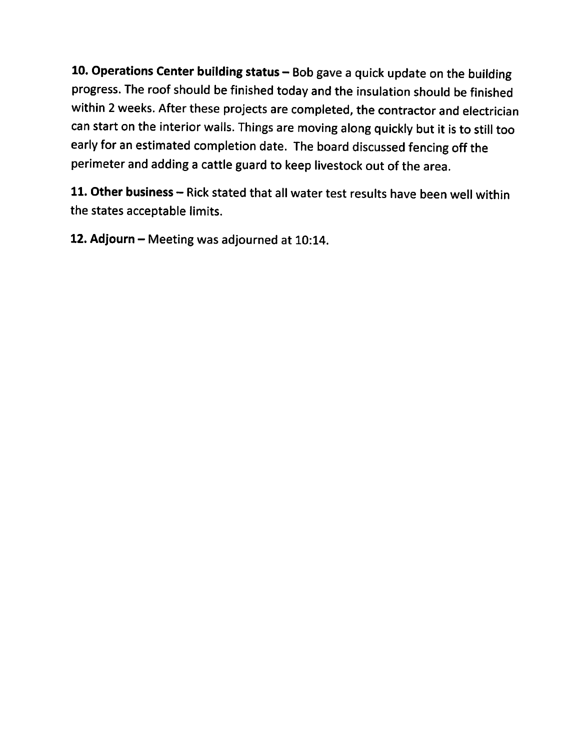10. Operations Center building status - Bob gave a quick update on the building progress. The roof should be finished today and the insulation should be finished within 2 weeks. After these projects are completed, the contractor and electrician can start on the interior walls. Things are moving along quickly but it is to still too early for an estimated completion date. The board discussed fencing off the perimeter and adding a cattle guard to keep livestock out of the area.

11. Other business - Rick stated that all water test results have been well within the states acceptable limits.

12. Adjourn - Meeting was adjourned at 10:14.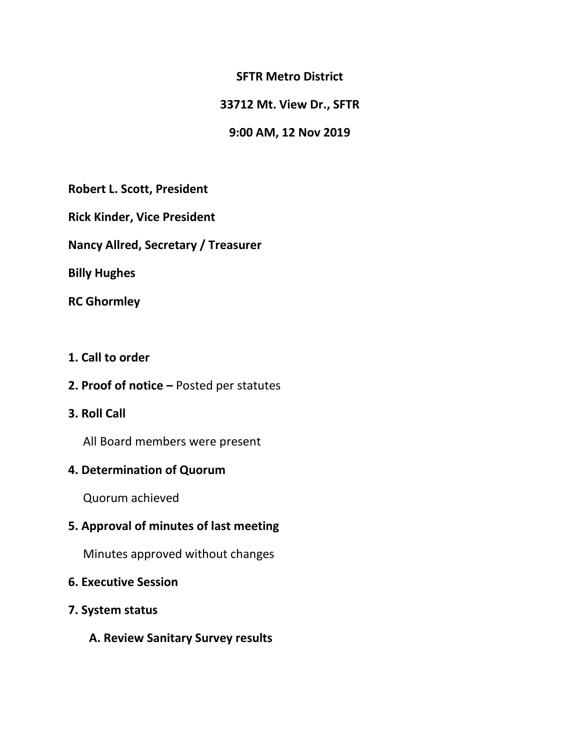#### **SFTR Metro District**

### **33712 Mt. View Dr., SFTR**

#### **9:00 AM, 12 Nov 2019**

**Robert L. Scott, President**

**Rick Kinder, Vice President**

**Nancy Allred, Secretary / Treasurer**

**Billy Hughes**

**RC Ghormley**

#### **1. Call to order**

**2. Proof of notice –** Posted per statutes

## **3. Roll Call**

All Board members were present

## **4. Determination of Quorum**

Quorum achieved

## **5. Approval of minutes of last meeting**

Minutes approved without changes

#### **6. Executive Session**

- **7. System status** 
	- **A. Review Sanitary Survey results**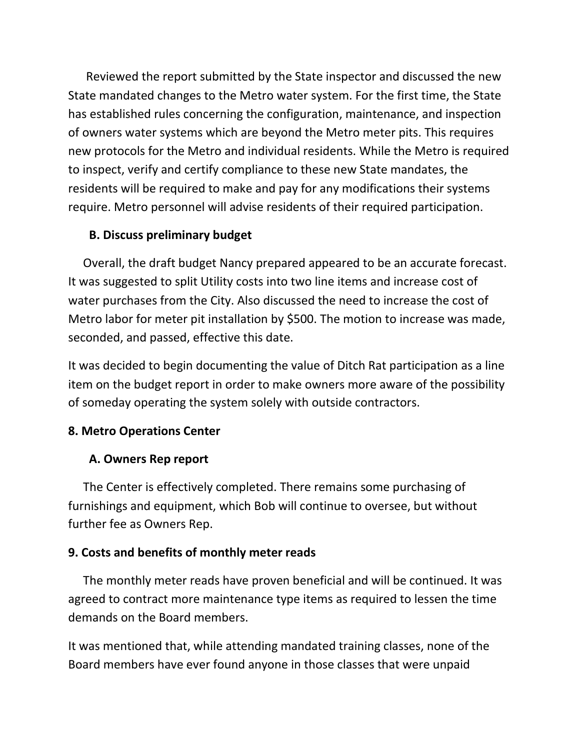Reviewed the report submitted by the State inspector and discussed the new State mandated changes to the Metro water system. For the first time, the State has established rules concerning the configuration, maintenance, and inspection of owners water systems which are beyond the Metro meter pits. This requires new protocols for the Metro and individual residents. While the Metro is required to inspect, verify and certify compliance to these new State mandates, the residents will be required to make and pay for any modifications their systems require. Metro personnel will advise residents of their required participation.

# **B. Discuss preliminary budget**

Overall, the draft budget Nancy prepared appeared to be an accurate forecast. It was suggested to split Utility costs into two line items and increase cost of water purchases from the City. Also discussed the need to increase the cost of Metro labor for meter pit installation by \$500. The motion to increase was made, seconded, and passed, effective this date.

It was decided to begin documenting the value of Ditch Rat participation as a line item on the budget report in order to make owners more aware of the possibility of someday operating the system solely with outside contractors.

# **8. Metro Operations Center**

## **A. Owners Rep report**

 The Center is effectively completed. There remains some purchasing of furnishings and equipment, which Bob will continue to oversee, but without further fee as Owners Rep.

## **9. Costs and benefits of monthly meter reads**

 The monthly meter reads have proven beneficial and will be continued. It was agreed to contract more maintenance type items as required to lessen the time demands on the Board members.

It was mentioned that, while attending mandated training classes, none of the Board members have ever found anyone in those classes that were unpaid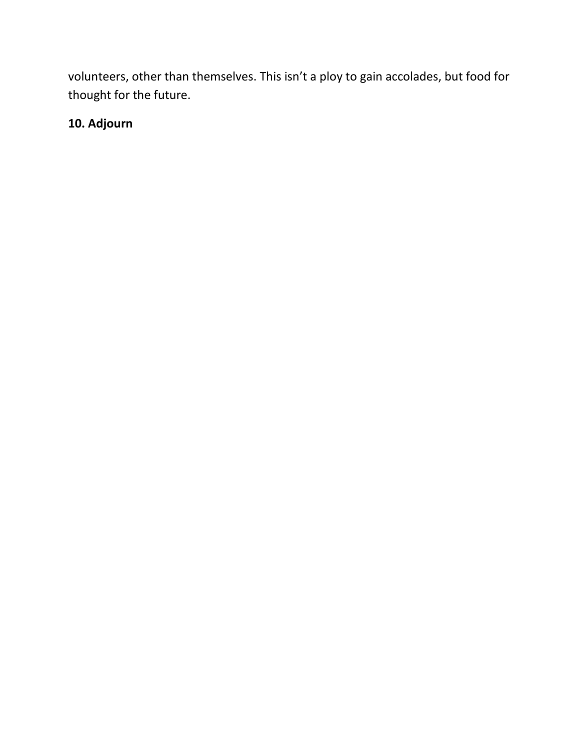volunteers, other than themselves. This isn't a ploy to gain accolades, but food for thought for the future.

# **10. Adjourn**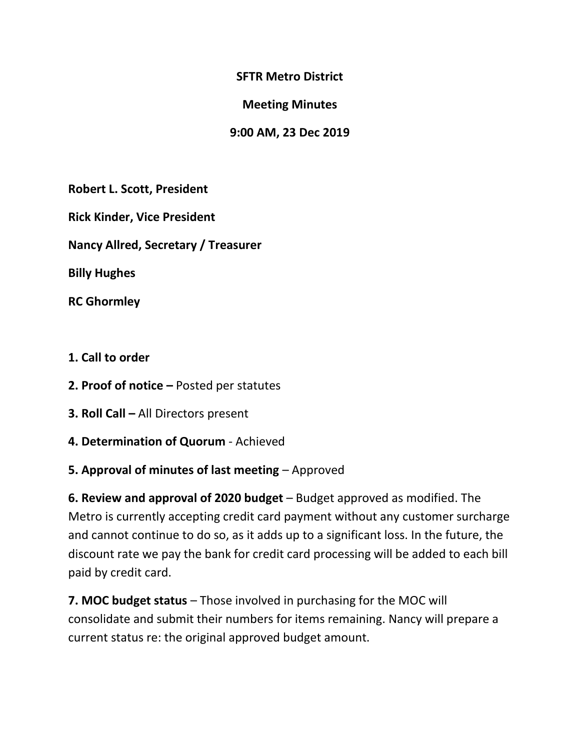**SFTR Metro District**

**Meeting Minutes**

**9:00 AM, 23 Dec 2019**

**Robert L. Scott, President**

**Rick Kinder, Vice President**

**Nancy Allred, Secretary / Treasurer**

**Billy Hughes**

**RC Ghormley**

- **1. Call to order**
- **2. Proof of notice –** Posted per statutes
- **3. Roll Call –** All Directors present
- **4. Determination of Quorum** Achieved

# **5. Approval of minutes of last meeting** – Approved

**6. Review and approval of 2020 budget** – Budget approved as modified. The Metro is currently accepting credit card payment without any customer surcharge and cannot continue to do so, as it adds up to a significant loss. In the future, the discount rate we pay the bank for credit card processing will be added to each bill paid by credit card.

**7. MOC budget status** – Those involved in purchasing for the MOC will consolidate and submit their numbers for items remaining. Nancy will prepare a current status re: the original approved budget amount.